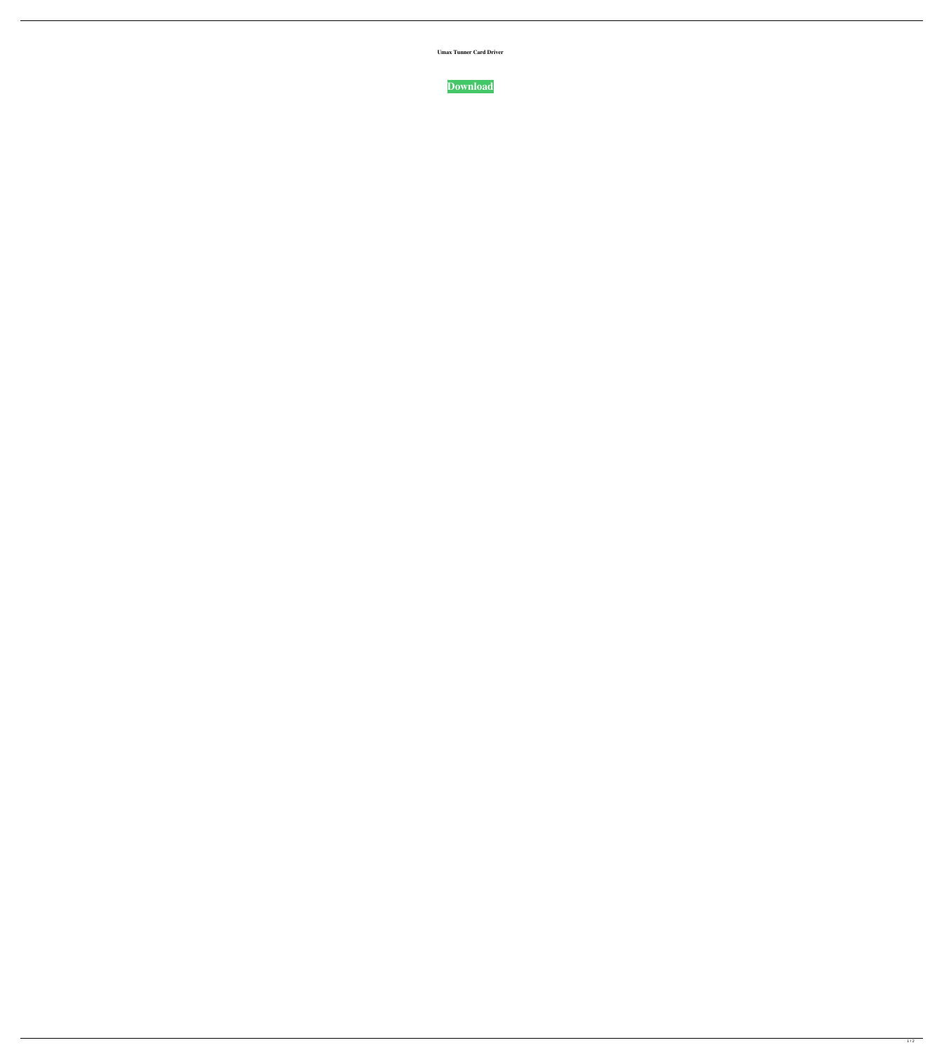

 $1/2$